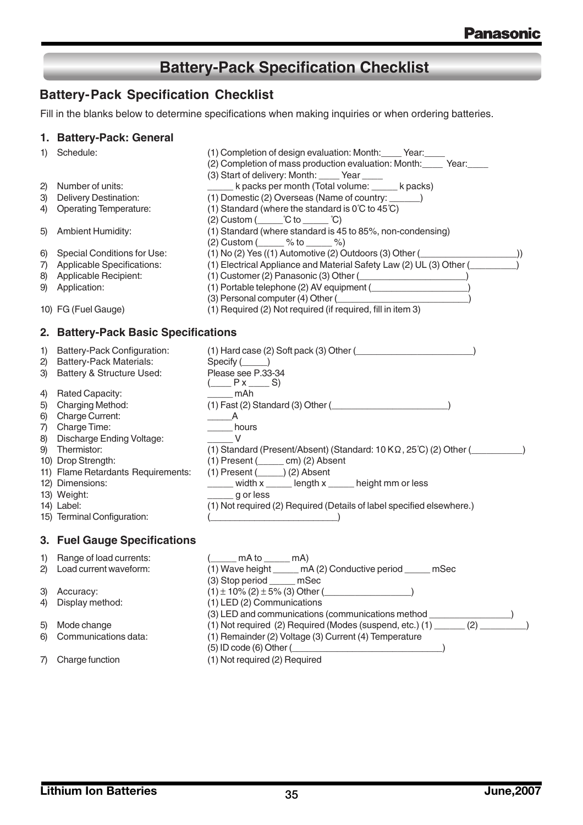## **Battery-Pack Specification Checklist**

### **Battery-Pack Specification Checklist**

Fill in the blanks below to determine specifications when making inquiries or when ordering batteries.

### **1. Battery-Pack: General**

| 1) | Schedule:                            | (1) Completion of design evaluation: Month: Year:<br>(2) Completion of mass production evaluation: Month: Year: |
|----|--------------------------------------|-----------------------------------------------------------------------------------------------------------------|
| 2) | Number of units:                     | (3) Start of delivery: Month: _____ Year ____<br>k packs per month (Total volume: _____ k packs)                |
| 3) | Delivery Destination:                | (1) Domestic (2) Overseas (Name of country: ______)                                                             |
| 4) | <b>Operating Temperature:</b>        | (1) Standard (where the standard is $0^{\circ}$ C to 45 $^{\circ}$ C)                                           |
|    |                                      | $(2)$ Custom $($ $C$ to $C$                                                                                     |
| 5) | <b>Ambient Humidity:</b>             | (1) Standard (where standard is 45 to 85%, non-condensing)                                                      |
|    |                                      | (2) Custom $($ \ $\%$ to $\frac{1}{2}$ %)                                                                       |
| 6) | Special Conditions for Use:          | $(1)$ No (2) Yes $((1)$ Automotive (2) Outdoors (3) Other $($                                                   |
| 7) | Applicable Specifications:           | (1) Electrical Appliance and Material Safety Law (2) UL (3) Other (                                             |
| 8) | Applicable Recipient:                | $(1)$ Customer (2) Panasonic (3) Other ( $\qquad \qquad \qquad$                                                 |
| 9) | Application:                         | (1) Portable telephone (2) AV equipment ( <i>______________________</i> )                                       |
|    |                                      | (3) Personal computer (4) Other (2000)                                                                          |
|    | 10) FG (Fuel Gauge)                  | (1) Required (2) Not required (if required, fill in item 3)                                                     |
|    | 2. Battery-Pack Basic Specifications |                                                                                                                 |
| 1) | Battery-Pack Configuration:          | $(1)$ Hard case $(2)$ Soft pack $(3)$ Other $($                                                                 |
| 2) | <b>Battery-Pack Materials:</b>       | $Specify (\_\_)$                                                                                                |
| 3) | Battery & Structure Used:            | Please see P.33-34<br>$($ $P x$ $S)$                                                                            |
| 4) | Rated Capacity:                      | $\frac{1}{2}$ mAh                                                                                               |
| 5) | Charging Method:                     | $(1)$ Fast (2) Standard (3) Other ( $\qquad \qquad$                                                             |
| 6) | <b>Charge Current:</b>               | $\overline{\phantom{a}}$ $\overline{\phantom{a}}$ $\overline{\phantom{a}}$ $\overline{\phantom{a}}$             |
| 7) | Charge Time:                         | ______ hours                                                                                                    |
| 8) | <b>Discharge Ending Voltage:</b>     | V                                                                                                               |
|    | 9) Thermistor:                       | (1) Standard (Present/Absent) (Standard: $10 K\Omega$ , $25^{\circ}$ C) (2) Other (                             |
|    | 10) Drop Strength:                   | $(1)$ Present $($ ______ cm $)$ $(2)$ Absent                                                                    |
|    | 11) Flame Retardants Requirements:   | $(1)$ Present $($ (2) Absent                                                                                    |
|    | 12) Dimensions:                      | _____ width x _____ length x _____ height mm or less                                                            |
|    | 13) Weight:                          | $\frac{1}{2}$ g or less                                                                                         |
|    | 14) Label:                           | (1) Not required (2) Required (Details of label specified elsewhere.)                                           |
|    | 15) Terminal Configuration:          |                                                                                                                 |
|    | 3. Fuel Gauge Specifications         |                                                                                                                 |
| 1) | Range of load currents:              | $($ mA to  mA)                                                                                                  |
| 2) | Load current waveform:               | (1) Wave height _____ mA (2) Conductive period _____ mSec                                                       |
|    |                                      | (3) Stop period _____ mSec                                                                                      |
| 3) | Accuracy:                            |                                                                                                                 |
| 4) | Display method:                      | (1) LED (2) Communications                                                                                      |
|    |                                      | (3) LED and communications (communications method _______________                                               |
| 5) | Mode change                          | (1) Not required (2) Required (Modes (suspend, etc.) (1) ______<br>(2)                                          |

- 6) Communications data:
- (1) Remainder (2) Voltage (3) Current (4) Temperature (5) ID code (6) Other (\_\_\_\_\_\_\_\_\_\_\_\_\_\_\_\_\_\_\_\_\_\_\_\_\_\_\_\_\_\_)

(1) Not required (2) Required

7) Charge function